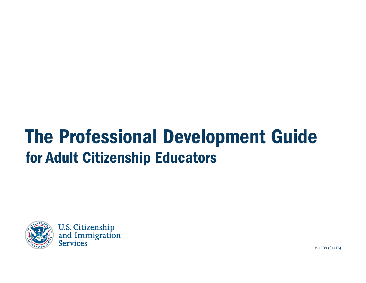# The Professional Development Guide for Adult Citizenship Educators



**U.S. Citizenship<br>and Immigration Services** 

M-1139 (01/16)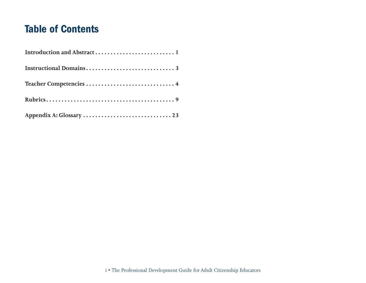# Table of Contents

| Teacher Competencies  4 |
|-------------------------|
|                         |
|                         |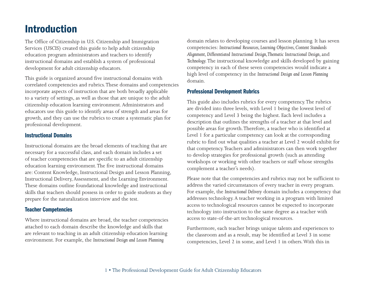# <span id="page-2-0"></span>Introduction

The Office of Citizenship in U.S. Citizenship and Immigration Services (USCIS) created this guide to help adult citizenship education program administrators and teachers to identify instructional domains and establish a system of professional development for adult citizenship educators.

This guide is organized around five instructional domains with correlated competencies and rubrics. These domains and competencies incorporate aspects of instruction that are both broadly applicable to a variety of settings, as well as those that are unique to the adult citizenship education learning environment. Administrators and educators use this guide to identify areas of strength and areas for growth, and they can use the rubrics to create a systematic plan for professional development.

#### Instructional Domains

Instructional domains are the broad elements of teaching that are necessary for a successful class, and each domain includes a set of teacher competencies that are specific to an adult citizenship education learning environment. The five instructional domains are: Content Knowledge, Instructional Design and Lesson Planning, Instructional Delivery, Assessment, and the Learning Environment. These domains outline foundational knowledge and instructional skills that teachers should possess in order to guide students as they prepare for the naturalization interview and the test.

#### Teacher Competencies

Where instructional domains are broad, the teacher competencies attached to each domain describe the knowledge and skills that are relevant to teaching in an adult citizenship education learning environment. For example, the *Instructional Design and Lesson Planning* 

domain relates to developing courses and lesson planning. It has seven competencies: *Instructional Resources, Learning Objectives, Content Standards*  Alignment, Differentiated Instructional Design, Thematic Instructional Design, and *Technology.* The instructional knowledge and skills developed by gaining competency in each of these seven competencies would indicate a high level of competency in the *Instructional Design and Lesson Planning*  domain.

#### Professional Development Rubrics

This guide also includes rubrics for every competency. The rubrics are divided into three levels, with Level 1 being the lowest level of competency and Level 3 being the highest. Each level includes a description that outlines the strengths of a teacher at that level and possible areas for growth. Therefore, a teacher who is identified at Level 1 for a particular competency can look at the corresponding rubric to find out what qualities a teacher at Level 2 would exhibit for that competency. Teachers and administrators can then work together to develop strategies for professional growth (such as attending workshops or working with other teachers or staff whose strengths complement a teacher's needs).

Please note that the competencies and rubrics may not be sufficient to address the varied circumstances of every teacher in every program. For example, the *Instructional Delivery* domain includes a competency that addresses technology. A teacher working in a program with limited access to technological resources cannot be expected to incorporate technology into instruction to the same degree as a teacher with access to state-of-the-art technological resources.

Furthermore, each teacher brings unique talents and experiences to the classroom and as a result, may be identified at Level 3 in some competencies, Level 2 in some, and Level 1 in others. With this in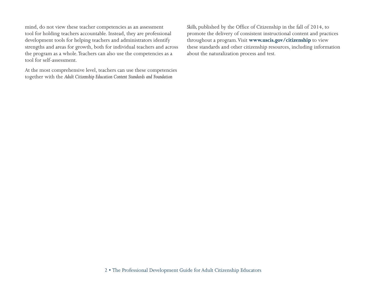mind, do not view these teacher competencies as an assessment tool for holding teachers accountable. Instead, they are professional development tools for helping teachers and administrators identify strengths and areas for growth, both for individual teachers and across the program as a whole. Teachers can also use the competencies as a tool for self-assessment.

At the most comprehensive level, teachers can use these competencies together with the *Adult Citizenship Education Content Standards and Foundation* 

*Skills,* published by the Office of Citizenship in the fall of 2014, to promote the delivery of consistent instructional content and practices throughout a program. Visit **[www.uscis.gov/citizenship](http://www.uscis.gov/citizenship)** to view these standards and other citizenship resources, including information about the naturalization process and test.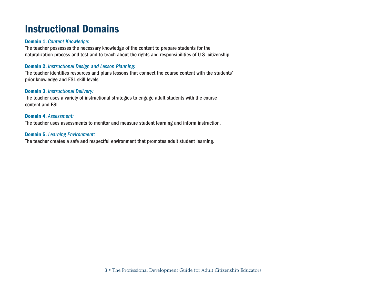# <span id="page-4-0"></span>Instructional Domains

#### Domain 1, *Content Knowledge:*

The teacher possesses the necessary knowledge of the content to prepare students for the naturalization process and test and to teach about the rights and responsibilities of U.S. citizenship.

#### Domain 2, *Instructional Design and Lesson Planning:*

The teacher identifies resources and plans lessons that connect the course content with the students' prior knowledge and ESL skill levels.

#### Domain 3, *Instructional Delivery:*

The teacher uses a variety of instructional strategies to engage adult students with the course content and ESL.

#### Domain 4, *Assessment:*

The teacher uses assessments to monitor and measure student learning and inform instruction.

#### Domain 5, *Learning Environment:*

The teacher creates a safe and respectful environment that promotes adult student learning.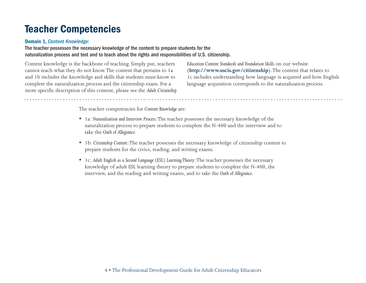### <span id="page-5-0"></span>Teacher Competencies

#### Domain 1, *Content Knowledge:*

#### The teacher possesses the necessary knowledge of the content to prepare students for the naturalization process and test and to teach about the rights and responsibilities of U.S. citizenship.

Content knowledge is the backbone of teaching. Simply put, teachers cannot teach what they do not know. The content that pertains to 1a and 1b includes the knowledge and skills that students must know to complete the naturalization process and the citizenship exam. For a more specific description of this content, please see the *Adult Citizenship* 

*Education Content Standards and Foundation Skills* on our website (**<http://www.uscis.gov/citizenship>**)*.* The content that relates to 1c includes understanding how language is acquired and how English language acquisition corresponds to the naturalization process.

The teacher competencies for *Content Knowledge* are:

- • 1a: *Naturalization and Interview Process*: The teacher possesses the necessary knowledge of the naturalization process to prepare students to complete the N-400 and the interview and to take the *Oath of Allegiance*.
- • 1b: *Citizenship Content*: The teacher possesses the necessary knowledge of citizenship content to prepare students for the civics, reading, and writing exams.
- • 1c: *Adult English as a Second Language (ESL) Learning Theory*: The teacher possesses the necessary knowledge of adult ESL learning theory to prepare students to complete the N-400, the interview, and the reading and writing exams, and to take the *Oath of Allegiance*.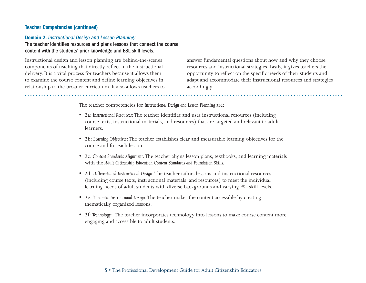#### Domain 2, *Instructional Design and Lesson Planning:*

The teacher identifies resources and plans lessons that connect the course content with the students' prior knowledge and ESL skill levels.

Instructional design and lesson planning are behind-the-scenes components of teaching that directly reflect in the instructional delivery. It is a vital process for teachers because it allows them to examine the course content and define learning objectives in relationship to the broader curriculum. It also allows teachers to answer fundamental questions about how and why they choose resources and instructional strategies. Lastly, it gives teachers the opportunity to reflect on the specific needs of their students and adapt and accommodate their instructional resources and strategies accordingly.

The teacher competencies for *Instructional Design and Lesson Planning* are:

- • 2a: *Instructional Resources*: The teacher identifies and uses instructional resources (including course texts, instructional materials, and resources) that are targeted and relevant to adult learners.
- • 2b: *Learning Objectives*: The teacher establishes clear and measurable learning objectives for the course and for each lesson.
- • 2c: *Content Standards Alignment*: The teacher aligns lesson plans, textbooks, and learning materials with the *Adult Citizenship Education Content Standards and Foundation Skills.*
- • *2*d: *Differentiated Instructional Design*: The teacher tailors lessons and instructional resources (including course texts, instructional materials, and resources) to meet the individual learning needs of adult students with diverse backgrounds and varying ESL skill levels.
- • 2e: *Thematic Instructional Design*: The teacher makes the content accessible by creating thematically organized lessons.
- • 2f: *Technology*: The teacher incorporates technology into lessons to make course content more engaging and accessible to adult students.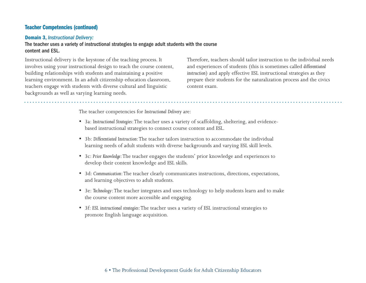#### Domain 3, *Instructional Delivery:*

#### The teacher uses a variety of instructional strategies to engage adult students with the course content and ESL.

Instructional delivery is the keystone of the teaching process. It involves using your instructional design to teach the course content, building relationships with students and maintaining a positive learning environment. In an adult citizenship education classroom, teachers engage with students with diverse cultural and linguistic backgrounds as well as varying learning needs.

Therefore, teachers should tailor instruction to the individual needs and experiences of students (this is sometimes called *differentiated instruction*) and apply effective ESL instructional strategies as they prepare their students for the naturalization process and the civics content exam.

The teacher competencies for *Instructional Delivery* are:

- • 3a: *Instructional Strategies*: The teacher uses a variety of scaffolding, sheltering, and evidencebased instructional strategies to connect course content and ESL.
- • 3b: *Differentiated Instruction*: The teacher tailors instruction to accommodate the individual learning needs of adult students with diverse backgrounds and varying ESL skill levels.
- • 3c: *Prior Knowledge*: The teacher engages the students' prior knowledge and experiences to develop their content knowledge and ESL skills.
- • 3d: *Communication*: The teacher clearly communicates instructions, directions, expectations, and learning objectives to adult students.
- • 3e: *Technology*: The teacher integrates and uses technology to help students learn and to make the course content more accessible and engaging.
- • 3f: *ESL instructional strategies*: The teacher uses a variety of ESL instructional strategies to promote English language acquisition.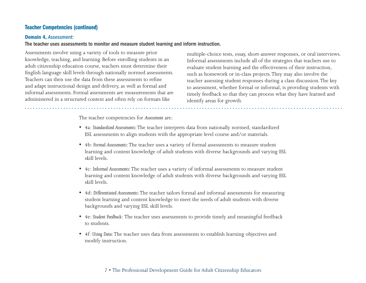#### Domain 4, *Assessment:*

#### The teacher uses assessments to monitor and measure student learning and inform instruction.

Assessments involve using a variety of tools to measure prior knowledge, teaching, and learning. Before enrolling students in an adult citizenship education course, teachers must determine their English language skill levels through nationally normed assessments. Teachers can then use the data from these assessments to refine and adapt instructional design and delivery, as well as formal and informal assessments. Formal assessments are measurements that are administered in a structured context and often rely on formats like

multiple-choice tests, essay, short-answer responses, or oral interviews. Informal assessments include all of the strategies that teachers use to evaluate student learning and the effectiveness of their instruction, such as homework or in-class projects. They may also involve the teacher assessing student responses during a class discussion. The key to assessment, whether formal or informal, is providing students with timely feedback so that they can process what they have learned and identify areas for growth.

The teacher competencies for *Assessment* are:

- • 4a: *Standardized Assessments:* The teacher interprets data from nationally normed, standardized ESL assessments to align students with the appropriate level course and/or materials.
- • 4b: *Formal Assessments:* The teacher uses a variety of formal assessments to measure student learning and content knowledge of adult students with diverse backgrounds and varying ESL skill levels.
- • 4c: *Informal Assessments:* The teacher uses a variety of informal assessments to measure student learning and content knowledge of adult students with diverse backgrounds and varying ESL skill levels.
- • 4d: *Differentiated Assessments:* The teacher tailors formal and informal assessments for measuring student learning and content knowledge to meet the needs of adult students with diverse backgrounds and varying ESL skill levels.
- • 4e: *Student Feedback:* The teacher uses assessments to provide timely and meaningful feedback to students.
- • 4f: *Using Data:* The teacher uses data from assessments to establish learning objectives and modify instruction.

#### 7 • The Professional Development Guide for Adult Citizenship Educators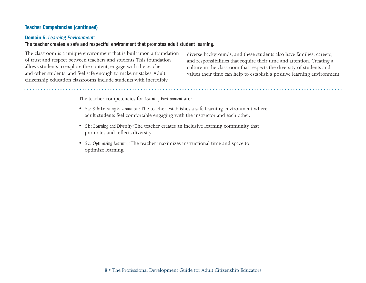#### Domain 5, *Learning Environment:*

#### The teacher creates a safe and respectful environment that promotes adult student learning.

The classroom is a unique environment that is built upon a foundation of trust and respect between teachers and students. This foundation allows students to explore the content, engage with the teacher and other students, and feel safe enough to make mistakes. Adult citizenship education classrooms include students with incredibly

diverse backgrounds, and these students also have families, careers, and responsibilities that require their time and attention. Creating a culture in the classroom that respects the diversity of students and values their time can help to establish a positive learning environment.

The teacher competencies for *Learning Environment* are:

- • 5a: *Safe Learning Environment:* The teacher establishes a safe learning environment where adult students feel comfortable engaging with the instructor and each other.
- • 5b: *Learning and Diversity:* The teacher creates an inclusive learning community that promotes and reflects diversity.
- • 5c: *Optimizing Learning:* The teacher maximizes instructional time and space to optimize learning.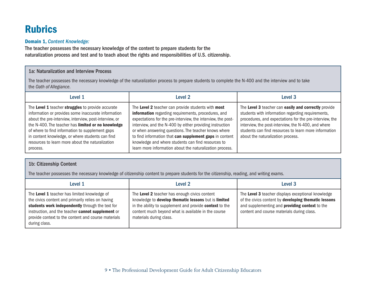# <span id="page-10-0"></span>Rubrics

#### Domain 1, *Content Knowledge:*

The teacher possesses the necessary knowledge of the content to prepare students for the naturalization process and test and to teach about the rights and responsibilities of U.S. citizenship.

#### 1a: Naturalization and Interview Process

The teacher possesses the necessary knowledge of the naturalization process to prepare students to complete the N-400 and the interview and to take the *Oath of Allegiance*.

| Level 1                                                                                                                                                                                                                                                                                                                                                                                         | Level 2                                                                                                                                                                                                                                                                                                                                                                                                                                                                    | Level 3                                                                                                                                                                                                                                                                                                                   |
|-------------------------------------------------------------------------------------------------------------------------------------------------------------------------------------------------------------------------------------------------------------------------------------------------------------------------------------------------------------------------------------------------|----------------------------------------------------------------------------------------------------------------------------------------------------------------------------------------------------------------------------------------------------------------------------------------------------------------------------------------------------------------------------------------------------------------------------------------------------------------------------|---------------------------------------------------------------------------------------------------------------------------------------------------------------------------------------------------------------------------------------------------------------------------------------------------------------------------|
| The Level 1 teacher struggles to provide accurate<br>information or provides some inaccurate information<br>about the pre-interview, interview, post-interview, or<br>the N-400. The teacher has limited or no knowledge<br>of where to find information to supplement gaps<br>in content knowledge, or where students can find<br>resources to learn more about the naturalization<br>process. | The Level 2 teacher can provide students with most<br>information regarding requirements, procedures, and<br>expectations for the pre-interview, the interview, the post-<br>interview, and the N-400 by either providing instruction<br>or when answering questions. The teacher knows where<br>to find information that can supplement gaps in content<br>knowledge and where students can find resources to<br>learn more information about the naturalization process. | The Level 3 teacher can easily and correctly provide<br>students with information regarding requirements,<br>procedures, and expectations for the pre-interview, the<br>interview, the post-interview, the N-400, and where<br>students can find resources to learn more information<br>about the naturalization process. |

#### 1b: Citizenship Content

The teacher possesses the necessary knowledge of citizenship content to prepare students for the citizenship, reading, and writing exams.

| Level 1                                                                                                                                                                                                                                                                            | Level 2                                                                                                                                                                                                                                            | Level 3                                                                                                                                                                                                    |
|------------------------------------------------------------------------------------------------------------------------------------------------------------------------------------------------------------------------------------------------------------------------------------|----------------------------------------------------------------------------------------------------------------------------------------------------------------------------------------------------------------------------------------------------|------------------------------------------------------------------------------------------------------------------------------------------------------------------------------------------------------------|
| The Level 1 teacher has limited knowledge of<br>the civics content and primarily relies on having<br>students work independently through the text for<br>instruction, and the teacher cannot supplement or<br>provide context to the content and course materials<br>during class. | The Level 2 teacher has enough civics content<br>knowledge to develop thematic lessons but is limited<br>in the ability to supplement and provide context to the<br>content much beyond what is available in the course<br>materials during class. | The Level 3 teacher displays exceptional knowledge<br>of the civics content by developing thematic lessons<br>and supplementing and providing context to the<br>content and course materials during class. |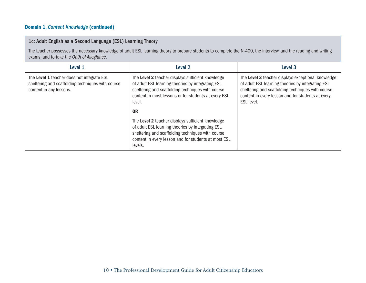### Domain 1, *Content Knowledge* (continued)

| 1c: Adult English as a Second Language (ESL) Learning Theory                                                                                                                                                   |                                                                                                                                                                                                                                |                                                                                                                                                                                                                                 |
|----------------------------------------------------------------------------------------------------------------------------------------------------------------------------------------------------------------|--------------------------------------------------------------------------------------------------------------------------------------------------------------------------------------------------------------------------------|---------------------------------------------------------------------------------------------------------------------------------------------------------------------------------------------------------------------------------|
| The teacher possesses the necessary knowledge of adult ESL learning theory to prepare students to complete the N-400, the interview, and the reading and writing<br>exams, and to take the Oath of Allegiance. |                                                                                                                                                                                                                                |                                                                                                                                                                                                                                 |
| Level 1                                                                                                                                                                                                        | Level 2                                                                                                                                                                                                                        | Level 3                                                                                                                                                                                                                         |
| The Level 1 teacher does not integrate ESL<br>sheltering and scaffolding techniques with course<br>content in any lessons.                                                                                     | The Level 2 teacher displays sufficient knowledge<br>of adult ESL learning theories by integrating ESL<br>sheltering and scaffolding techniques with course<br>content in most lessons or for students at every ESL<br>level.  | The Level 3 teacher displays exceptional knowledge<br>of adult ESL learning theories by integrating ESL<br>sheltering and scaffolding techniques with course<br>content in every lesson and for students at every<br>ESL level. |
|                                                                                                                                                                                                                | 0 <sub>R</sub>                                                                                                                                                                                                                 |                                                                                                                                                                                                                                 |
|                                                                                                                                                                                                                | The Level 2 teacher displays sufficient knowledge<br>of adult ESL learning theories by integrating ESL<br>sheltering and scaffolding techniques with course<br>content in every lesson and for students at most ESL<br>levels. |                                                                                                                                                                                                                                 |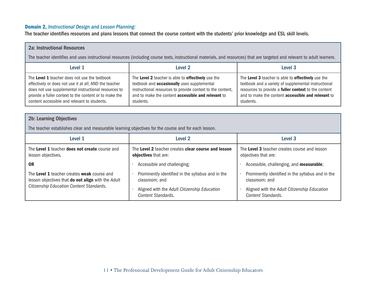#### Domain 2, *Instructional Design and Lesson Planning:*

The teacher identifies resources and plans lessons that connect the course content with the students' prior knowledge and ESL skill levels.

| <b>2a: Instructional Resources</b>                                                                                                                                                                                                                                        |                                                                                                                                                                                                                                                  |                                                                                                                                                                                                                                              |
|---------------------------------------------------------------------------------------------------------------------------------------------------------------------------------------------------------------------------------------------------------------------------|--------------------------------------------------------------------------------------------------------------------------------------------------------------------------------------------------------------------------------------------------|----------------------------------------------------------------------------------------------------------------------------------------------------------------------------------------------------------------------------------------------|
| The teacher identifies and uses instructional resources (including course texts, instructional materials, and resources) that are targeted and relevant to adult learners.                                                                                                |                                                                                                                                                                                                                                                  |                                                                                                                                                                                                                                              |
| Level 1                                                                                                                                                                                                                                                                   | Level 2                                                                                                                                                                                                                                          | Level 3                                                                                                                                                                                                                                      |
| The Level 1 teacher does not use the textbook<br>effectively or does not use it at all; AND the teacher<br>does not use supplemental instructional resources to<br>provide a fuller context to the content or to make the<br>content accessible and relevant to students. | The Level 2 teacher is able to effectively use the<br>textbook and <b>occasionally</b> uses supplemental<br>instructional resources to provide context to the content,<br>and to make the content <b>accessible and relevant</b> to<br>students. | The Level 3 teacher is able to effectively use the<br>textbook and a variety of supplemental instructional<br>resources to provide a fuller context to the content<br>and to make the content <b>accessible and relevant</b> to<br>students. |
| <b>2b: Learning Objectives</b>                                                                                                                                                                                                                                            |                                                                                                                                                                                                                                                  |                                                                                                                                                                                                                                              |
| The teacher establishes clear and measurable learning objectives for the course and for each lesson.                                                                                                                                                                      |                                                                                                                                                                                                                                                  |                                                                                                                                                                                                                                              |
| Level 1                                                                                                                                                                                                                                                                   | Level 2                                                                                                                                                                                                                                          | Level <sub>3</sub>                                                                                                                                                                                                                           |

| Level 1                                                                                                                                              | Level 2                                                                                                                                   | Level 3                                                                                                                                          |
|------------------------------------------------------------------------------------------------------------------------------------------------------|-------------------------------------------------------------------------------------------------------------------------------------------|--------------------------------------------------------------------------------------------------------------------------------------------------|
| The Level 1 teacher does not create course and<br>lesson objectives.                                                                                 | The Level 2 teacher creates clear course and lesson<br>objectives that are:                                                               | The Level 3 teacher creates course and lesson<br>objectives that are:                                                                            |
| 0R                                                                                                                                                   | Accessible and challenging;                                                                                                               | Accessible, challenging, and measurable;                                                                                                         |
| The Level 1 teacher creates weak course and<br>lesson objectives that <b>do not align</b> with the Adult<br>Citizenship Education Content Standards. | Prominently identified in the syllabus and in the<br>classroom; and<br>Aligned with the Adult Citizenship Education<br>Content Standards. | Prominently identified in the syllabus and in the<br>classroom; and<br>Aligned with the Adult Citizenship Education<br><b>Content Standards.</b> |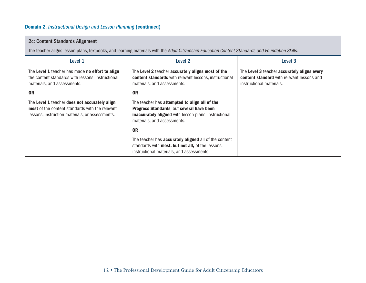### Domain 2, *Instructional Design and Lesson Planning* (continued)

| 2c: Content Standards Alignment                                                                                                                            |                                                                                                                                                                                           |                                                                                                                              |
|------------------------------------------------------------------------------------------------------------------------------------------------------------|-------------------------------------------------------------------------------------------------------------------------------------------------------------------------------------------|------------------------------------------------------------------------------------------------------------------------------|
|                                                                                                                                                            | The teacher aligns lesson plans, textbooks, and learning materials with the Adult Citizenship Education Content Standards and Foundation Skills.                                          |                                                                                                                              |
| Level 1                                                                                                                                                    | Level 2                                                                                                                                                                                   | Level 3                                                                                                                      |
| The Level 1 teacher has made no effort to align<br>the content standards with lessons, instructional<br>materials, and assessments.                        | The Level 2 teacher accurately aligns most of the<br><b>content standards</b> with relevant lessons, instructional<br>materials, and assessments.                                         | The Level 3 teacher accurately aligns every<br><b>content standard</b> with relevant lessons and<br>instructional materials. |
| <b>OR</b>                                                                                                                                                  | 0 <sub>R</sub>                                                                                                                                                                            |                                                                                                                              |
| The Level 1 teacher does not accurately align<br><b>most</b> of the content standards with the relevant<br>lessons, instruction materials, or assessments. | The teacher has attempted to align all of the<br>Progress Standards, but several have been<br><b>inaccurately aligned</b> with lesson plans, instructional<br>materials, and assessments. |                                                                                                                              |
|                                                                                                                                                            | 0 <sub>R</sub>                                                                                                                                                                            |                                                                                                                              |
|                                                                                                                                                            | The teacher has <b>accurately aligned</b> all of the content<br>standards with most, but not all, of the lessons,<br>instructional materials, and assessments.                            |                                                                                                                              |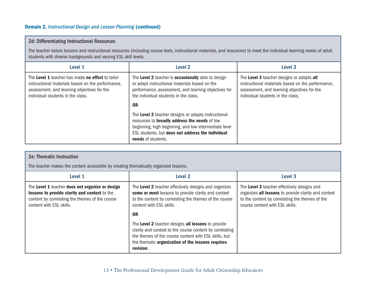#### Domain 2, *Instructional Design and Lesson Planning* (continued)

#### 2d: Differentiating Instructional Resources

The teacher tailors lessons and instructional resources (including course texts, instructional materials, and resources) to meet the individual learning needs of adult students with diverse backgrounds and varying ESL skill levels.

| Level 1                                                                                                                                                                                   | Level 2                                                                                                                                                                                                                                  | Level 3                                                                                                                                                                            |
|-------------------------------------------------------------------------------------------------------------------------------------------------------------------------------------------|------------------------------------------------------------------------------------------------------------------------------------------------------------------------------------------------------------------------------------------|------------------------------------------------------------------------------------------------------------------------------------------------------------------------------------|
| The Level 1 teacher has made no effort to tailor<br>instructional materials based on the performance,<br>assessment, and learning objectives for the<br>individual students in the class. | The Level 2 teacher is occasionally able to design<br>or adapt instructional materials based on the<br>performance, assessment, and learning objectives for<br>the individual students in the class.                                     | The Level 3 teacher designs or adapts all<br>instructional materials based on the performance,<br>assessment, and learning objectives for the<br>individual students in the class. |
|                                                                                                                                                                                           | 0 <sub>R</sub>                                                                                                                                                                                                                           |                                                                                                                                                                                    |
|                                                                                                                                                                                           | The Level 2 teacher designs or adapts instructional<br>resources to broadly address the needs of low<br>beginning, high beginning, and low intermediate level<br>ESL students, but does not address the individual<br>needs of students. |                                                                                                                                                                                    |

| <b>2e: Thematic Instruction</b>                                                                                                                                                 |                                                                                                                                                                                                                                           |                                                                                                                                                                                           |
|---------------------------------------------------------------------------------------------------------------------------------------------------------------------------------|-------------------------------------------------------------------------------------------------------------------------------------------------------------------------------------------------------------------------------------------|-------------------------------------------------------------------------------------------------------------------------------------------------------------------------------------------|
| The teacher makes the content accessible by creating thematically organized lessons.                                                                                            |                                                                                                                                                                                                                                           |                                                                                                                                                                                           |
| Level 1                                                                                                                                                                         | Level 2                                                                                                                                                                                                                                   | Level <sub>3</sub>                                                                                                                                                                        |
| The Level 1 teacher does not organize or design<br>lessons to provide clarity and context to the<br>content by correlating the themes of the course<br>content with ESL skills. | The Level 2 teacher effectively designs and organizes<br>some or most lessons to provide clarity and context<br>to the content by correlating the themes of the course<br>content with ESL skills.                                        | The Level 3 teacher effectively designs and<br>organizes all lessons to provide clarity and context<br>to the content by correlating the themes of the<br>course content with ESL skills. |
|                                                                                                                                                                                 | 0 <sub>R</sub>                                                                                                                                                                                                                            |                                                                                                                                                                                           |
|                                                                                                                                                                                 | The Level 2 teacher designs all lessons to provide<br>clarity and context to the course content by correlating<br>the themes of the course content with ESL skills, but<br>the thematic organization of the lessons requires<br>revision. |                                                                                                                                                                                           |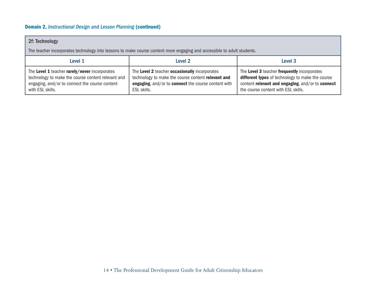#### Domain 2, *Instructional Design and Lesson Planning* (continued)

#### 2f: Technology

The teacher incorporates technology into lessons to make course content more engaging and accessible to adult students.

| Level 1                                            | Level 2                                             | Level 3                                          |
|----------------------------------------------------|-----------------------------------------------------|--------------------------------------------------|
| The Level 1 teacher rarely/never incorporates      | The Level 2 teacher occasionally incorporates       | The Level 3 teacher frequently incorporates      |
| technology to make the course content relevant and | technology to make the course content relevant and  | different types of technology to make the course |
| engaging, and/or to connect the course content     | engaging, and/or to connect the course content with | content relevant and engaging, and/or to connect |
| with ESL skills.                                   | ESL skills.                                         | the course content with ESL skills.              |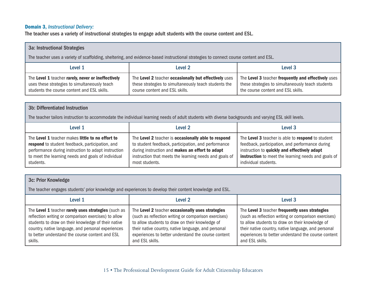#### Domain 3, *Instructional Delivery:*

The teacher uses a variety of instructional strategies to engage adult students with the course content and ESL.

| <b>3a: Instructional Strategies</b>                                                                                                                |                                                                                                                                                  |                                                                                                                                                |
|----------------------------------------------------------------------------------------------------------------------------------------------------|--------------------------------------------------------------------------------------------------------------------------------------------------|------------------------------------------------------------------------------------------------------------------------------------------------|
| The teacher uses a variety of scaffolding, sheltering, and evidence-based instructional strategies to connect course content and ESL.              |                                                                                                                                                  |                                                                                                                                                |
| Level 1                                                                                                                                            | Level 2                                                                                                                                          | Level 3                                                                                                                                        |
| The Level 1 teacher rarely, never or ineffectively<br>uses these strategies to simultaneously teach<br>students the course content and ESL skills. | The Level 2 teacher occasionally but effectively uses<br>these strategies to simultaneously teach students the<br>course content and ESL skills. | The Level 3 teacher frequently and effectively uses<br>these strategies to simultaneously teach students<br>the course content and ESL skills. |

#### 3b: Differentiated Instruction

The teacher tailors instruction to accommodate the individual learning needs of adult students with diverse backgrounds and varying ESL skill levels.

| Level 1                                             | Level 2                                                | Level 3                                                    |
|-----------------------------------------------------|--------------------------------------------------------|------------------------------------------------------------|
| The Level 1 teacher makes little to no effort to    | The Level 2 teacher is occasionally able to respond    | The Level 3 teacher is able to respond to student          |
| respond to student feedback, participation, and     | to student feedback, participation, and performance    | feedback, participation, and performance during            |
| performance during instruction to adapt instruction | during instruction and makes an effort to adapt        | instruction to quickly and effectively adapt               |
| to meet the learning needs and goals of individual  | instruction that meets the learning needs and goals of | <b>instruction</b> to meet the learning needs and goals of |
| students.                                           | most students.                                         | individual students.                                       |

| 3c: Prior Knowledge                                                                                                                                                                                                                                                                    |                                                                                                                                                                                                                                                                                              |                                                                                                                                                                                                                                                                                            |
|----------------------------------------------------------------------------------------------------------------------------------------------------------------------------------------------------------------------------------------------------------------------------------------|----------------------------------------------------------------------------------------------------------------------------------------------------------------------------------------------------------------------------------------------------------------------------------------------|--------------------------------------------------------------------------------------------------------------------------------------------------------------------------------------------------------------------------------------------------------------------------------------------|
| The teacher engages students' prior knowledge and experiences to develop their content knowledge and ESL.                                                                                                                                                                              |                                                                                                                                                                                                                                                                                              |                                                                                                                                                                                                                                                                                            |
| Level 1                                                                                                                                                                                                                                                                                | Level 2                                                                                                                                                                                                                                                                                      | Level 3                                                                                                                                                                                                                                                                                    |
| The Level 1 teacher rarely uses strategies (such as<br>reflection writing or comparison exercises) to allow<br>students to draw on their knowledge of their native<br>country, native language, and personal experiences<br>to better understand the course content and ESL<br>skills. | The Level 2 teacher occasionally uses strategies<br>(such as reflection writing or comparison exercises)<br>to allow students to draw on their knowledge of<br>their native country, native language, and personal<br>experiences to better understand the course content<br>and ESL skills. | The Level 3 teacher frequently uses strategies<br>(such as reflection writing or comparison exercises)<br>to allow students to draw on their knowledge of<br>their native country, native language, and personal<br>experiences to better understand the course content<br>and ESL skills. |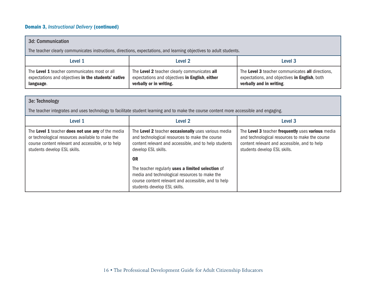### Domain 3, *Instructional Delivery* (continued)

| 3d: Communication                                                                                                   |                                                                                                                           |                                                                                                                               |
|---------------------------------------------------------------------------------------------------------------------|---------------------------------------------------------------------------------------------------------------------------|-------------------------------------------------------------------------------------------------------------------------------|
| The teacher clearly communicates instructions, directions, expectations, and learning objectives to adult students. |                                                                                                                           |                                                                                                                               |
| Level 1                                                                                                             | Level 2                                                                                                                   | Level 3                                                                                                                       |
| The Level 1 teacher communicates most or all<br>expectations and objectives in the students' native<br>language.    | The Level 2 teacher clearly communicates all<br>expectations and objectives in English, either<br>verbally or in writing. | The Level 3 teacher communicates all directions,<br>expectations, and objectives in English, both<br>verbally and in writing. |

| 3e: Technology                                                                                                                                                                              |                                                                                                                                                                                           |                                                                                                                                                                                     |
|---------------------------------------------------------------------------------------------------------------------------------------------------------------------------------------------|-------------------------------------------------------------------------------------------------------------------------------------------------------------------------------------------|-------------------------------------------------------------------------------------------------------------------------------------------------------------------------------------|
| The teacher integrates and uses technology to facilitate student learning and to make the course content more accessible and engaging.                                                      |                                                                                                                                                                                           |                                                                                                                                                                                     |
| Level 1                                                                                                                                                                                     | Level 2                                                                                                                                                                                   | Level 3                                                                                                                                                                             |
| The Level 1 teacher does not use any of the media<br>or technological resources available to make the<br>course content relevant and accessible, or to help<br>students develop ESL skills. | The Level 2 teacher occasionally uses various media<br>and technological resources to make the course<br>content relevant and accessible, and to help students<br>develop ESL skills.     | The Level 3 teacher frequently uses various media<br>and technological resources to make the course<br>content relevant and accessible, and to help<br>students develop ESL skills. |
|                                                                                                                                                                                             | <b>OR</b>                                                                                                                                                                                 |                                                                                                                                                                                     |
|                                                                                                                                                                                             | The teacher regularly uses a limited selection of<br>media and technological resources to make the<br>course content relevant and accessible, and to help<br>students develop ESL skills. |                                                                                                                                                                                     |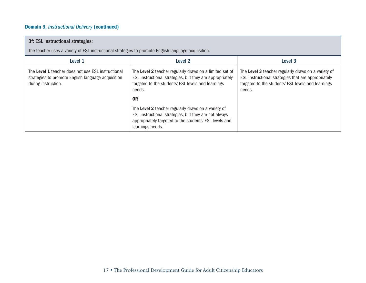### Domain 3, *Instructional Delivery* (continued)

| 3f: ESL instructional strategies:                                                                                               |                                                                                                                                                                                            |                                                                                                                                                                            |
|---------------------------------------------------------------------------------------------------------------------------------|--------------------------------------------------------------------------------------------------------------------------------------------------------------------------------------------|----------------------------------------------------------------------------------------------------------------------------------------------------------------------------|
| The teacher uses a variety of ESL instructional strategies to promote English language acquisition.                             |                                                                                                                                                                                            |                                                                                                                                                                            |
| Level 1                                                                                                                         | Level 2                                                                                                                                                                                    | Level <sub>3</sub>                                                                                                                                                         |
| The Level 1 teacher does not use ESL instructional<br>strategies to promote English language acquisition<br>during instruction. | The Level 2 teacher regularly draws on a limited set of<br>ESL instructional strategies, but they are appropriately<br>targeted to the students' ESL levels and learnings<br>needs.        | The Level 3 teacher regularly draws on a variety of<br>ESL instructional strategies that are appropriately<br>targeted to the students' ESL levels and learnings<br>needs. |
|                                                                                                                                 | 0 <sub>R</sub>                                                                                                                                                                             |                                                                                                                                                                            |
|                                                                                                                                 | The Level 2 teacher regularly draws on a variety of<br>ESL instructional strategies, but they are not always<br>appropriately targeted to the students' ESL levels and<br>learnings needs. |                                                                                                                                                                            |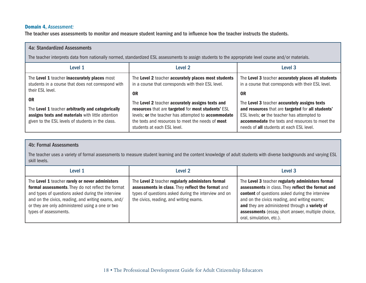#### Domain 4, *Assessment:*

The teacher uses assessments to monitor and measure student learning and to influence how the teacher instructs the students.

| 4a: Standardized Assessments                                                                                                                                                  |                                                                                                                                                                                                                                                   |                                                                                                                                                                                                                                                 |
|-------------------------------------------------------------------------------------------------------------------------------------------------------------------------------|---------------------------------------------------------------------------------------------------------------------------------------------------------------------------------------------------------------------------------------------------|-------------------------------------------------------------------------------------------------------------------------------------------------------------------------------------------------------------------------------------------------|
| The teacher interprets data from nationally normed, standardized ESL assessments to assign students to the appropriate level course and/or materials.                         |                                                                                                                                                                                                                                                   |                                                                                                                                                                                                                                                 |
| Level 1                                                                                                                                                                       | Level 2                                                                                                                                                                                                                                           | Level 3                                                                                                                                                                                                                                         |
| The Level 1 teacher inaccurately places most<br>students in a course that does not correspond with<br>their ESL level.                                                        | The Level 2 teacher accurately places most students<br>in a course that corresponds with their ESL level.<br>0R                                                                                                                                   | The Level 3 teacher accurately places all students<br>in a course that corresponds with their ESL level.<br>0R                                                                                                                                  |
| 0 <sub>R</sub><br>The Level 1 teacher arbitrarily and categorically<br>assigns texts and materials with little attention<br>given to the ESL levels of students in the class. | The Level 2 teacher accurately assigns texts and<br>resources that are targeted for most students' ESL<br>levels; or the teacher has attempted to accommodate<br>the texts and resources to meet the needs of most<br>students at each ESL level. | The Level 3 teacher accurately assigns texts<br>and resources that are targeted for all students'<br>ESL levels; or the teacher has attempted to<br>accommodate the texts and resources to meet the<br>needs of all students at each ESL level. |

#### 4b: Formal Assessments

The teacher uses a variety of formal assessments to measure student learning and the content knowledge of adult students with diverse backgrounds and varying ESL skill levels.

| Level 1                                                                                                                                                                                                                                                                                        | Level 2                                                                                                                                                                                                  | Level 3                                                                                                                                                                                                                                                                                                                                       |
|------------------------------------------------------------------------------------------------------------------------------------------------------------------------------------------------------------------------------------------------------------------------------------------------|----------------------------------------------------------------------------------------------------------------------------------------------------------------------------------------------------------|-----------------------------------------------------------------------------------------------------------------------------------------------------------------------------------------------------------------------------------------------------------------------------------------------------------------------------------------------|
| The Level 1 teacher rarely or never administers<br>formal assessments. They do not reflect the format<br>and types of questions asked during the interview<br>and on the civics, reading, and writing exams, and/<br>or they are only administered using a one or two<br>types of assessments. | The Level 2 teacher regularly administers formal<br>assessments in class. They reflect the format and<br>types of questions asked during the interview and on<br>the civics, reading, and writing exams. | The Level 3 teacher regularly administers formal<br>assessments in class. They reflect the format and<br>content of questions asked during the interview<br>and on the civics reading, and writing exams;<br>and they are administered through a variety of<br>assessments (essay, short answer, multiple choice,<br>oral, simulation, etc.). |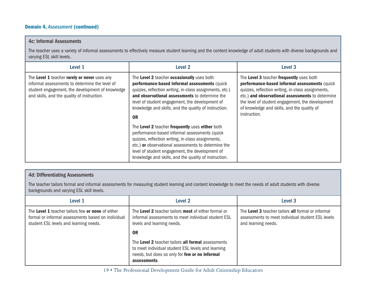#### Domain 4, *Assessment* (continued)

#### 4c: Informal Assessments

The teacher uses a variety of informal assessments to effectively measure student learning and the content knowledge of adult students with diverse backgrounds and varying ESL skill levels.

| Level 1                                                                                                                                                                                           | Level <sub>2</sub>                                                                                                                                                                                                                                                                                                                 | Level <sub>3</sub>                                                                                                                                                                                                                                                                                                     |
|---------------------------------------------------------------------------------------------------------------------------------------------------------------------------------------------------|------------------------------------------------------------------------------------------------------------------------------------------------------------------------------------------------------------------------------------------------------------------------------------------------------------------------------------|------------------------------------------------------------------------------------------------------------------------------------------------------------------------------------------------------------------------------------------------------------------------------------------------------------------------|
| The Level 1 teacher rarely or never uses any<br>informal assessments to determine the level of<br>student engagement, the development of knowledge<br>and skills, and the quality of instruction. | The Level 2 teacher occasionally uses both<br>performance-based informal assessments (quick<br>quizzes, reflection writing, in-class assignments, etc.)<br>and observational assessments to determine the<br>level of student engagement, the development of<br>knowledge and skills, and the quality of instruction.<br><b>OR</b> | The Level 3 teacher frequently uses both<br>performance-based informal assessments (quick<br>quizzes, reflection writing, in-class assignments,<br>etc.) and observational assessments to determine<br>the level of student engagement, the development<br>of knowledge and skills, and the quality of<br>instruction. |
|                                                                                                                                                                                                   | The Level 2 teacher frequently uses either both<br>performance-based informal assessments (quick<br>quizzes, reflection writing, in-class assignments,<br>etc.) or observational assessments to determine the<br>level of student engagement, the development of<br>knowledge and skills, and the quality of instruction.          |                                                                                                                                                                                                                                                                                                                        |

#### 4d: Differentiating Assessments

The teacher tailors formal and informal assessments for measuring student learning and content knowledge to meet the needs of adult students with diverse backgrounds and varying ESL skill levels.

| Level 1                                                                                                                                           | Level 2                                                                                                                                                                    | Level 3                                                                                                                        |
|---------------------------------------------------------------------------------------------------------------------------------------------------|----------------------------------------------------------------------------------------------------------------------------------------------------------------------------|--------------------------------------------------------------------------------------------------------------------------------|
| The Level 1 teacher tailors few or none of either<br>formal or informal assessments based on individual<br>student ESL levels and learning needs. | The Level 2 teacher tailors most of either formal or<br>informal assessments to meet individual student ESL<br>levels and learning needs.                                  | The Level 3 teacher tailors all formal or informal<br>assessments to meet individual student ESL levels<br>and learning needs. |
|                                                                                                                                                   | <b>OR</b>                                                                                                                                                                  |                                                                                                                                |
|                                                                                                                                                   | The Level 2 teacher tailors all formal assessments<br>to meet individual student ESL levels and learning<br>needs, but does so only for few or no informal<br>assessments. |                                                                                                                                |

19 • The Professional Development Guide for Adult Citizenship Educators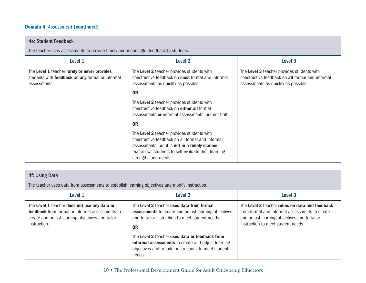#### Domain 4, *Assessment* (continued)

| <b>4e: Student Feedback</b>                                                                                      |                                                                                                                                                                                                                                 |                                                                                                                                       |
|------------------------------------------------------------------------------------------------------------------|---------------------------------------------------------------------------------------------------------------------------------------------------------------------------------------------------------------------------------|---------------------------------------------------------------------------------------------------------------------------------------|
| The teacher uses assessments to provide timely and meaningful feedback to students.                              |                                                                                                                                                                                                                                 |                                                                                                                                       |
| Level 1                                                                                                          | Level 2                                                                                                                                                                                                                         | Level 3                                                                                                                               |
| The Level 1 teacher rarely or never provides<br>students with feedback on any formal or informal<br>assessments. | The Level 2 teacher provides students with<br>constructive feedback on <b>most</b> formal and informal<br>assessments as quickly as possible.                                                                                   | The Level 3 teacher provides students with<br>constructive feedback on all formal and informal<br>assessments as quickly as possible. |
|                                                                                                                  | <b>OR</b>                                                                                                                                                                                                                       |                                                                                                                                       |
|                                                                                                                  | The Level 2 teacher provides students with<br>constructive feedback on either all formal<br>assessments or informal assessments, but not both.                                                                                  |                                                                                                                                       |
|                                                                                                                  | <b>OR</b>                                                                                                                                                                                                                       |                                                                                                                                       |
|                                                                                                                  | The Level 2 teacher provides students with<br>constructive feedback on all formal and informal<br>assessments, but it is not in a timely manner<br>that allows students to self-evaluate their learning<br>strengths and needs. |                                                                                                                                       |

#### 4f: Using Data

The teacher uses data from assessments to establish learning objectives and modify instruction.

| Level 1                                                                                                                                                                    | Level 2                                                                                                                                                                   | Level <sub>3</sub>                                                                                                                                                                      |
|----------------------------------------------------------------------------------------------------------------------------------------------------------------------------|---------------------------------------------------------------------------------------------------------------------------------------------------------------------------|-----------------------------------------------------------------------------------------------------------------------------------------------------------------------------------------|
| The Level 1 teacher does not use any data or<br><b>feedback</b> from formal or informal assessments to<br>create and adjust learning objectives and tailor<br>instruction. | The Level 2 teacher uses data from formal<br><b>assessments</b> to create and adjust learning objectives<br>and to tailor instruction to meet student needs.<br><b>OR</b> | The Level 3 teacher relies on data and feedback<br>from formal and informal assessments to create<br>and adjust learning objectives and to tailor<br>instruction to meet student needs. |
|                                                                                                                                                                            | The Level 2 teacher uses data or feedback from<br>informal assessments to create and adjust learning<br>objectives and to tailor instructions to meet student<br>needs.   |                                                                                                                                                                                         |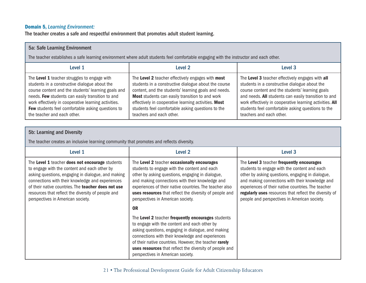#### Domain 5, *Learning Environment:*

The teacher creates a safe and respectful environment that promotes adult student learning.

| 5a: Safe Learning Environment                                                                                                                                                                                                                                                                                                                               |                                                                                                                                                                                                                                                                                                                                                               |                                                                                                                                                                                                                                                                                                                                                           |
|-------------------------------------------------------------------------------------------------------------------------------------------------------------------------------------------------------------------------------------------------------------------------------------------------------------------------------------------------------------|---------------------------------------------------------------------------------------------------------------------------------------------------------------------------------------------------------------------------------------------------------------------------------------------------------------------------------------------------------------|-----------------------------------------------------------------------------------------------------------------------------------------------------------------------------------------------------------------------------------------------------------------------------------------------------------------------------------------------------------|
| The teacher establishes a safe learning environment where adult students feel comfortable engaging with the instructor and each other.                                                                                                                                                                                                                      |                                                                                                                                                                                                                                                                                                                                                               |                                                                                                                                                                                                                                                                                                                                                           |
| Level 1                                                                                                                                                                                                                                                                                                                                                     | Level 2                                                                                                                                                                                                                                                                                                                                                       | Level 3                                                                                                                                                                                                                                                                                                                                                   |
| The Level 1 teacher struggles to engage with<br>students in a constructive dialogue about the<br>course content and the students' learning goals and<br>needs. Few students can easily transition to and<br>work effectively in cooperative learning activities.<br><b>Few</b> students feel comfortable asking questions to<br>the teacher and each other. | The Level 2 teacher effectively engages with most<br>students in a constructive dialogue about the course<br>content, and the students' learning goals and needs.<br>Most students can easily transition to and work<br>effectively in cooperative learning activities. Most<br>students feel comfortable asking questions to the<br>teachers and each other. | The Level 3 teacher effectively engages with all<br>students in a constructive dialogue about the<br>course content and the students' learning goals<br>and needs. All students can easily transition to and<br>work effectively in cooperative learning activities. All<br>students feel comfortable asking questions to the<br>teachers and each other. |

#### 5b: Learning and Diversity

The teacher creates an inclusive learning community that promotes and reflects diversity.

| Level 1                                                                                                                                                                                                                                                                                                                                                            | Level 2                                                                                                                                                                                                                                                                                                                                                                       | Level 3                                                                                                                                                                                                                                                                                                                                                          |
|--------------------------------------------------------------------------------------------------------------------------------------------------------------------------------------------------------------------------------------------------------------------------------------------------------------------------------------------------------------------|-------------------------------------------------------------------------------------------------------------------------------------------------------------------------------------------------------------------------------------------------------------------------------------------------------------------------------------------------------------------------------|------------------------------------------------------------------------------------------------------------------------------------------------------------------------------------------------------------------------------------------------------------------------------------------------------------------------------------------------------------------|
| The Level 1 teacher does not encourage students<br>to engage with the content and each other by<br>asking questions, engaging in dialogue, and making<br>connections with their knowledge and experiences<br>of their native countries. The <b>teacher does not use</b><br>resources that reflect the diversity of people and<br>perspectives in American society. | The Level 2 teacher occasionally encourages<br>students to engage with the content and each<br>other by asking questions, engaging in dialogue,<br>and making connections with their knowledge and<br>experiences of their native countries. The teacher also<br>uses resources that reflect the diversity of people and<br>perspectives in American society.                 | The Level 3 teacher frequently encourages<br>students to engage with the content and each<br>other by asking questions, engaging in dialogue,<br>and making connections with their knowledge and<br>experiences of their native countries. The teacher<br>regularly uses resources that reflect the diversity of<br>people and perspectives in American society. |
|                                                                                                                                                                                                                                                                                                                                                                    | 0 <sub>R</sub>                                                                                                                                                                                                                                                                                                                                                                |                                                                                                                                                                                                                                                                                                                                                                  |
|                                                                                                                                                                                                                                                                                                                                                                    | The Level 2 teacher frequently encourages students<br>to engage with the content and each other by<br>asking questions, engaging in dialogue, and making<br>connections with their knowledge and experiences<br>of their native countries. However, the teacher rarely<br><b>uses resources</b> that reflect the diversity of people and<br>perspectives in American society. |                                                                                                                                                                                                                                                                                                                                                                  |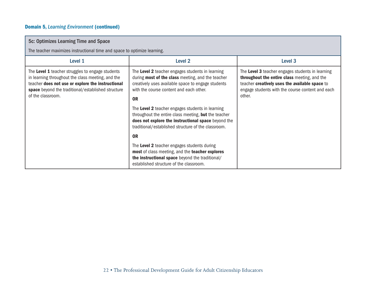### Domain 5, *Learning Environment* (continued)

| 5c: Optimizes Learning Time and Space                                                                                                                                                                                                 |                                                                                                                                                                                                                                                                                                                                                                                                                                                      |                                                                                                                                                                                                                  |
|---------------------------------------------------------------------------------------------------------------------------------------------------------------------------------------------------------------------------------------|------------------------------------------------------------------------------------------------------------------------------------------------------------------------------------------------------------------------------------------------------------------------------------------------------------------------------------------------------------------------------------------------------------------------------------------------------|------------------------------------------------------------------------------------------------------------------------------------------------------------------------------------------------------------------|
| The teacher maximizes instructional time and space to optimize learning.                                                                                                                                                              |                                                                                                                                                                                                                                                                                                                                                                                                                                                      |                                                                                                                                                                                                                  |
| Level 1                                                                                                                                                                                                                               | Level 2                                                                                                                                                                                                                                                                                                                                                                                                                                              | Level 3                                                                                                                                                                                                          |
| The Level 1 teacher struggles to engage students<br>in learning throughout the class meeting, and the<br>teacher does not use or explore the instructional<br>space beyond the traditional/established structure<br>of the classroom. | The Level 2 teacher engages students in learning<br>during <b>most of the class</b> meeting, and the teacher<br>creatively uses available space to engage students<br>with the course content and each other.<br><b>OR</b><br>The Level 2 teacher engages students in learning<br>throughout the entire class meeting, but the teacher<br>does not explore the instructional space beyond the<br>traditional/established structure of the classroom. | The Level 3 teacher engages students in learning<br>throughout the entire class meeting, and the<br>teacher creatively uses the available space to<br>engage students with the course content and each<br>other. |
|                                                                                                                                                                                                                                       | 0 <sub>R</sub>                                                                                                                                                                                                                                                                                                                                                                                                                                       |                                                                                                                                                                                                                  |
|                                                                                                                                                                                                                                       | The Level 2 teacher engages students during<br>most of class meeting, and the teacher explores<br>the instructional space beyond the traditional/<br>established structure of the classroom.                                                                                                                                                                                                                                                         |                                                                                                                                                                                                                  |